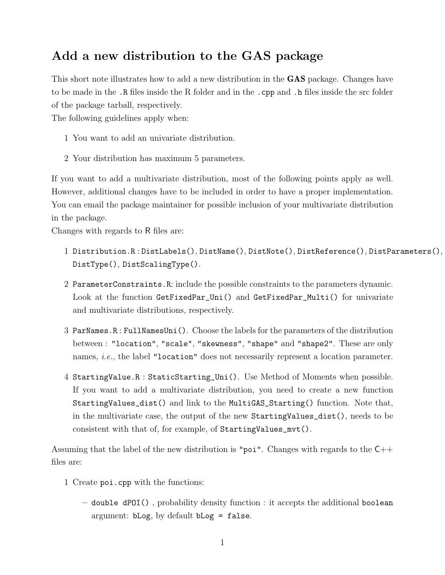## Add a new distribution to the GAS package

This short note illustrates how to add a new distribution in the GAS package. Changes have to be made in the .R files inside the R folder and in the .cpp and .h files inside the src folder of the package tarball, respectively.

The following guidelines apply when:

- 1 You want to add an univariate distribution.
- 2 Your distribution has maximum 5 parameters.

If you want to add a multivariate distribution, most of the following points apply as well. However, additional changes have to be included in order to have a proper implementation. You can email the package maintainer for possible inclusion of your multivariate distribution in the package.

Changes with regards to R files are:

- 1 Distribution.R : DistLabels(), DistName(), DistNote(), DistReference(), DistParameters(), DistType(), DistScalingType().
- 2 ParameterConstraints.R: include the possible constraints to the parameters dynamic. Look at the function GetFixedPar\_Uni() and GetFixedPar\_Multi() for univariate and multivariate distributions, respectively.
- 3 ParNames.R : FullNamesUni(). Choose the labels for the parameters of the distribution between : "location", "scale", "skewness", "shape" and "shape2". These are only names, *i.e.*, the label "location" does not necessarily represent a location parameter.
- 4 StartingValue.R : StaticStarting\_Uni(). Use Method of Moments when possible. If you want to add a multivariate distribution, you need to create a new function StartingValues\_dist() and link to the MultiGAS\_Starting() function. Note that, in the multivariate case, the output of the new StartingValues\_dist(), needs to be consistent with that of, for example, of StartingValues\_mvt().

Assuming that the label of the new distribution is "poi". Changes with regards to the  $C_{++}$ files are:

- 1 Create poi.cpp with the functions:
	- double dPOI() , probability density function : it accepts the additional boolean argument: bLog, by default bLog = false.